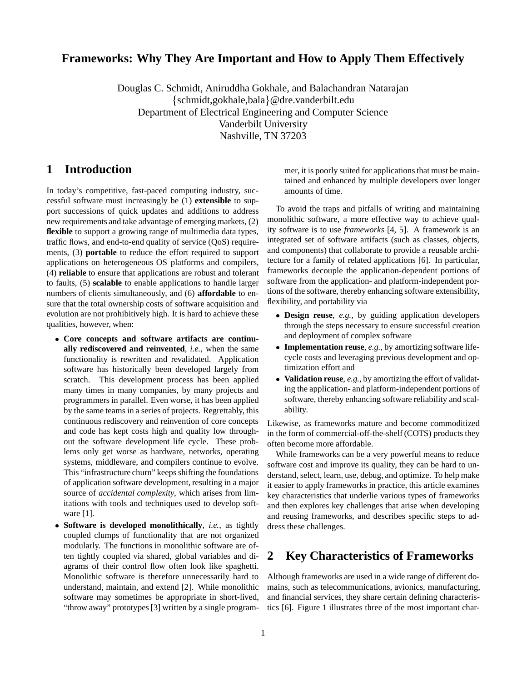## **Frameworks: Why They Are Important and How to Apply Them Effectively**

Douglas C. Schmidt, Aniruddha Gokhale, and Balachandran Natarajan {schmidt,gokhale,bala}@dre.vanderbilt.edu Department of Electrical Engineering and Computer Science Vanderbilt University Nashville, TN 37203

## **1 Introduction**

In today's competitive, fast-paced computing industry, successful software must increasingly be (1) **extensible** to support successions of quick updates and additions to address new requirements and take advantage of emerging markets, (2) **flexible** to support a growing range of multimedia data types, traffic flows, and end-to-end quality of service (QoS) requirements, (3) **portable** to reduce the effort required to support applications on heterogeneous OS platforms and compilers, (4) **reliable** to ensure that applications are robust and tolerant to faults, (5) **scalable** to enable applications to handle larger numbers of clients simultaneously, and (6) **affordable** to ensure that the total ownership costs of software acquisition and evolution are not prohibitively high. It is hard to achieve these qualities, however, when:

- **Core concepts and software artifacts are continually rediscovered and reinvented**, *i.e.*, when the same functionality is rewritten and revalidated. Application software has historically been developed largely from scratch. This development process has been applied many times in many companies, by many projects and programmers in parallel. Even worse, it has been applied by the same teams in a series of projects. Regrettably, this continuous rediscovery and reinvention of core concepts and code has kept costs high and quality low throughout the software development life cycle. These problems only get worse as hardware, networks, operating systems, middleware, and compilers continue to evolve. This "infrastructure churn" keeps shifting the foundations of application software development, resulting in a major source of *accidental complexity*, which arises from limitations with tools and techniques used to develop software [1].
- **Software is developed monolithically**, *i.e.*, as tightly coupled clumps of functionality that are not organized modularly. The functions in monolithic software are often tightly coupled via shared, global variables and diagrams of their control flow often look like spaghetti. Monolithic software is therefore unnecessarily hard to understand, maintain, and extend [2]. While monolithic software may sometimes be appropriate in short-lived, "throw away" prototypes [3] written by a single program-

mer, it is poorly suited for applications that must be maintained and enhanced by multiple developers over longer amounts of time.

To avoid the traps and pitfalls of writing and maintaining monolithic software, a more effective way to achieve quality software is to use *frameworks* [4, 5]. A framework is an integrated set of software artifacts (such as classes, objects, and components) that collaborate to provide a reusable architecture for a family of related applications [6]. In particular, frameworks decouple the application-dependent portions of software from the application- and platform-independent portions of the software, thereby enhancing software extensibility, flexibility, and portability via

- **Design reuse**, *e.g.*, by guiding application developers through the steps necessary to ensure successful creation and deployment of complex software
- **Implementation reuse**, *e.g.*, by amortizing software lifecycle costs and leveraging previous development and optimization effort and
- **Validation reuse**, *e.g.*, by amortizing the effort of validating the application- and platform-independent portions of software, thereby enhancing software reliability and scalability.

Likewise, as frameworks mature and become commoditized in the form of commercial-off-the-shelf (COTS) products they often become more affordable.

While frameworks can be a very powerful means to reduce software cost and improve its quality, they can be hard to understand, select, learn, use, debug, and optimize. To help make it easier to apply frameworks in practice, this article examines key characteristics that underlie various types of frameworks and then explores key challenges that arise when developing and reusing frameworks, and describes specific steps to address these challenges.

## **2 Key Characteristics of Frameworks**

Although frameworks are used in a wide range of different domains, such as telecommunications, avionics, manufacturing, and financial services, they share certain defining characteristics [6]. Figure 1 illustrates three of the most important char-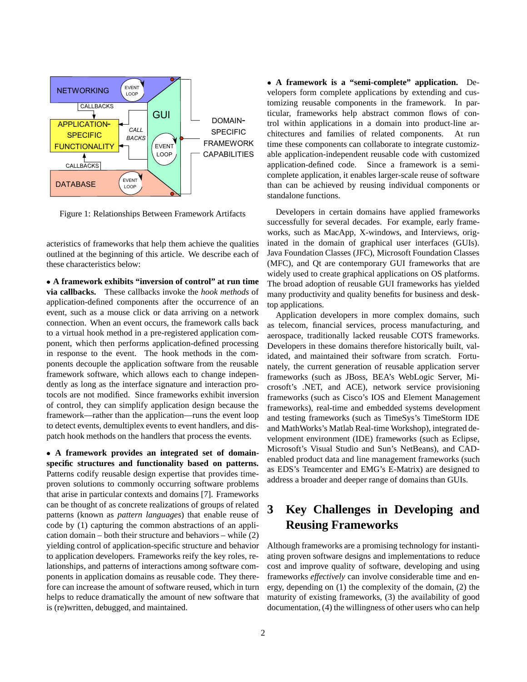

Figure 1: Relationships Between Framework Artifacts

acteristics of frameworks that help them achieve the qualities outlined at the beginning of this article. We describe each of these characteristics below:

 **A framework exhibits "inversion of control" at run time via callbacks.** These callbacks invoke the *hook methods* of application-defined components after the occurrence of an event, such as a mouse click or data arriving on a network connection. When an event occurs, the framework calls back to a virtual hook method in a pre-registered application component, which then performs application-defined processing in response to the event. The hook methods in the components decouple the application software from the reusable framework software, which allows each to change independently as long as the interface signature and interaction protocols are not modified. Since frameworks exhibit inversion of control, they can simplify application design because the framework—rather than the application—runs the event loop to detect events, demultiplex events to event handlers, and dispatch hook methods on the handlers that process the events.

 **A framework provides an integrated set of domainspecific structures and functionality based on patterns.** Patterns codify reusable design expertise that provides timeproven solutions to commonly occurring software problems that arise in particular contexts and domains [7]. Frameworks can be thought of as concrete realizations of groups of related patterns (known as *pattern languages*) that enable reuse of code by (1) capturing the common abstractions of an application domain – both their structure and behaviors – while (2) yielding control of application-specific structure and behavior to application developers. Frameworks reify the key roles, relationships, and patterns of interactions among software components in application domains as reusable code. They therefore can increase the amount of software reused, which in turn helps to reduce dramatically the amount of new software that is (re)written, debugged, and maintained.

 **A framework is a "semi-complete" application.** Developers form complete applications by extending and customizing reusable components in the framework. In particular, frameworks help abstract common flows of control within applications in a domain into product-line architectures and families of related components. At run time these components can collaborate to integrate customizable application-independent reusable code with customized application-defined code. Since a framework is a semicomplete application, it enables larger-scale reuse of software than can be achieved by reusing individual components or standalone functions.

Developers in certain domains have applied frameworks successfully for several decades. For example, early frameworks, such as MacApp, X-windows, and Interviews, originated in the domain of graphical user interfaces (GUIs). Java Foundation Classes (JFC), Microsoft Foundation Classes (MFC), and Qt are contemporary GUI frameworks that are widely used to create graphical applications on OS platforms. The broad adoption of reusable GUI frameworks has yielded many productivity and quality benefits for business and desktop applications.

Application developers in more complex domains, such as telecom, financial services, process manufacturing, and aerospace, traditionally lacked reusable COTS frameworks. Developers in these domains therefore historically built, validated, and maintained their software from scratch. Fortunately, the current generation of reusable application server frameworks (such as JBoss, BEA's WebLogic Server, Microsoft's .NET, and ACE), network service provisioning frameworks (such as Cisco's IOS and Element Management frameworks), real-time and embedded systems development and testing frameworks (such as TimeSys's TimeStorm IDE and MathWorks's Matlab Real-time Workshop), integrated development environment (IDE) frameworks (such as Eclipse, Microsoft's Visual Studio and Sun's NetBeans), and CADenabled product data and line management frameworks (such as EDS's Teamcenter and EMG's E-Matrix) are designed to address a broader and deeper range of domains than GUIs.

# **3 Key Challenges in Developing and Reusing Frameworks**

Although frameworks are a promising technology for instantiating proven software designs and implementations to reduce cost and improve quality of software, developing and using frameworks *effectively* can involve considerable time and energy, depending on (1) the complexity of the domain, (2) the maturity of existing frameworks, (3) the availability of good documentation, (4) the willingness of other users who can help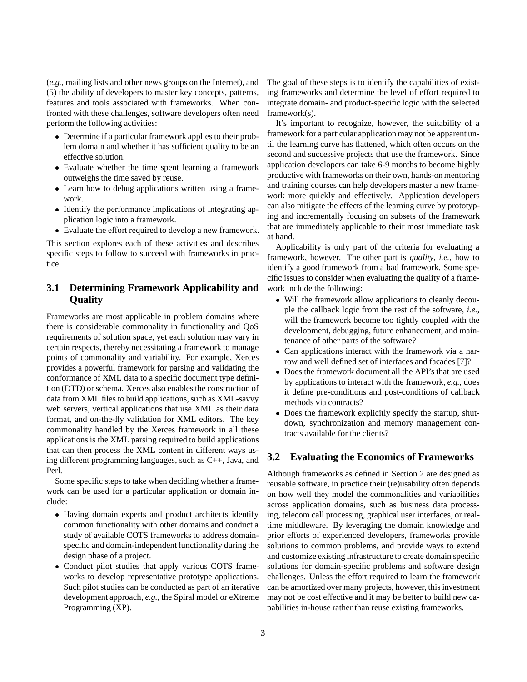(*e.g.*, mailing lists and other news groups on the Internet), and (5) the ability of developers to master key concepts, patterns, features and tools associated with frameworks. When confronted with these challenges, software developers often need perform the following activities:

- Determine if a particular framework applies to their problem domain and whether it has sufficient quality to be an effective solution.
- Evaluate whether the time spent learning a framework outweighs the time saved by reuse.
- Learn how to debug applications written using a framework.
- Identify the performance implications of integrating application logic into a framework.
- Evaluate the effort required to develop a new framework.

This section explores each of these activities and describes specific steps to follow to succeed with frameworks in practice.

#### **3.1 Determining Framework Applicability and Quality**

Frameworks are most applicable in problem domains where there is considerable commonality in functionality and QoS requirements of solution space, yet each solution may vary in certain respects, thereby necessitating a framework to manage points of commonality and variability. For example, Xerces provides a powerful framework for parsing and validating the conformance of XML data to a specific document type definition (DTD) or schema. Xerces also enables the construction of data from XML files to build applications, such as XML-savvy web servers, vertical applications that use XML as their data format, and on-the-fly validation for XML editors. The key commonality handled by the Xerces framework in all these applications is the XML parsing required to build applications that can then process the XML content in different ways using different programming languages, such as C++, Java, and Perl.

Some specific steps to take when deciding whether a framework can be used for a particular application or domain include:

- Having domain experts and product architects identify common functionality with other domains and conduct a study of available COTS frameworks to address domainspecific and domain-independent functionality during the design phase of a project.
- Conduct pilot studies that apply various COTS frameworks to develop representative prototype applications. Such pilot studies can be conducted as part of an iterative development approach, *e.g.*, the Spiral model or eXtreme Programming (XP).

The goal of these steps is to identify the capabilities of existing frameworks and determine the level of effort required to integrate domain- and product-specific logic with the selected framework(s).

It's important to recognize, however, the suitability of a framework for a particular application may not be apparent until the learning curve has flattened, which often occurs on the second and successive projects that use the framework. Since application developers can take 6-9 months to become highly productive with frameworks on their own, hands-on mentoring and training courses can help developers master a new framework more quickly and effectively. Application developers can also mitigate the effects of the learning curve by prototyping and incrementally focusing on subsets of the framework that are immediately applicable to their most immediate task at hand.

Applicability is only part of the criteria for evaluating a framework, however. The other part is *quality*, *i.e.*, how to identify a good framework from a bad framework. Some specific issues to consider when evaluating the quality of a framework include the following:

- Will the framework allow applications to cleanly decouple the callback logic from the rest of the software, *i.e.*, will the framework become too tightly coupled with the development, debugging, future enhancement, and maintenance of other parts of the software?
- Can applications interact with the framework via a narrow and well defined set of interfaces and facades [7]?
- Does the framework document all the API's that are used by applications to interact with the framework, *e.g.*, does it define pre-conditions and post-conditions of callback methods via contracts?
- Does the framework explicitly specify the startup, shutdown, synchronization and memory management contracts available for the clients?

#### **3.2 Evaluating the Economics of Frameworks**

Although frameworks as defined in Section 2 are designed as reusable software, in practice their (re)usability often depends on how well they model the commonalities and variabilities across application domains, such as business data processing, telecom call processing, graphical user interfaces, or realtime middleware. By leveraging the domain knowledge and prior efforts of experienced developers, frameworks provide solutions to common problems, and provide ways to extend and customize existing infrastructure to create domain specific solutions for domain-specific problems and software design challenges. Unless the effort required to learn the framework can be amortized over many projects, however, this investment may not be cost effective and it may be better to build new capabilities in-house rather than reuse existing frameworks.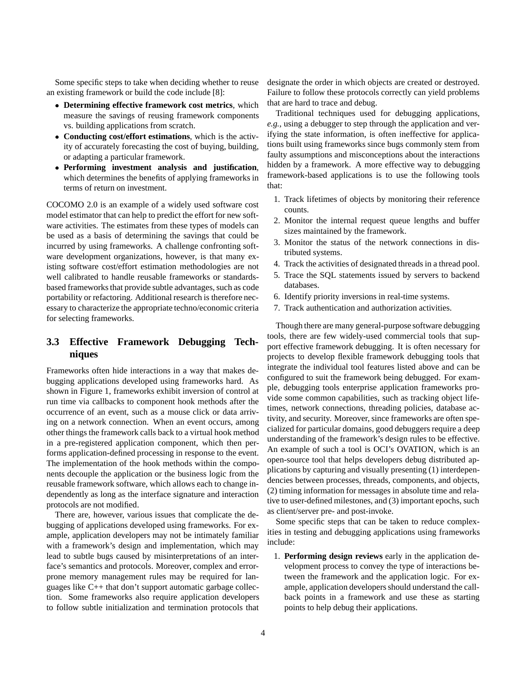Some specific steps to take when deciding whether to reuse an existing framework or build the code include [8]:

- **Determining effective framework cost metrics**, which measure the savings of reusing framework components vs. building applications from scratch.
- **Conducting cost/effort estimations**, which is the activity of accurately forecasting the cost of buying, building, or adapting a particular framework.
- **Performing investment analysis and justification**, which determines the benefits of applying frameworks in terms of return on investment.

COCOMO 2.0 is an example of a widely used software cost model estimator that can help to predict the effort for new software activities. The estimates from these types of models can be used as a basis of determining the savings that could be incurred by using frameworks. A challenge confronting software development organizations, however, is that many existing software cost/effort estimation methodologies are not well calibrated to handle reusable frameworks or standardsbased frameworks that provide subtle advantages, such as code portability or refactoring. Additional research is therefore necessary to characterize the appropriate techno/economic criteria for selecting frameworks.

### **3.3 Effective Framework Debugging Techniques**

Frameworks often hide interactions in a way that makes debugging applications developed using frameworks hard. As shown in Figure 1, frameworks exhibit inversion of control at run time via callbacks to component hook methods after the occurrence of an event, such as a mouse click or data arriving on a network connection. When an event occurs, among other things the framework calls back to a virtual hook method in a pre-registered application component, which then performs application-defined processing in response to the event. The implementation of the hook methods within the components decouple the application or the business logic from the reusable framework software, which allows each to change independently as long as the interface signature and interaction protocols are not modified.

There are, however, various issues that complicate the debugging of applications developed using frameworks. For example, application developers may not be intimately familiar with a framework's design and implementation, which may lead to subtle bugs caused by misinterpretations of an interface's semantics and protocols. Moreover, complex and errorprone memory management rules may be required for languages like C++ that don't support automatic garbage collection. Some frameworks also require application developers to follow subtle initialization and termination protocols that designate the order in which objects are created or destroyed. Failure to follow these protocols correctly can yield problems that are hard to trace and debug.

Traditional techniques used for debugging applications, *e.g.*, using a debugger to step through the application and verifying the state information, is often ineffective for applications built using frameworks since bugs commonly stem from faulty assumptions and misconceptions about the interactions hidden by a framework. A more effective way to debugging framework-based applications is to use the following tools that:

- 1. Track lifetimes of objects by monitoring their reference counts.
- 2. Monitor the internal request queue lengths and buffer sizes maintained by the framework.
- 3. Monitor the status of the network connections in distributed systems.
- 4. Track the activities of designated threads in a thread pool.
- 5. Trace the SQL statements issued by servers to backend databases.
- 6. Identify priority inversions in real-time systems.
- 7. Track authentication and authorization activities.

Though there are many general-purpose software debugging tools, there are few widely-used commercial tools that support effective framework debugging. It is often necessary for projects to develop flexible framework debugging tools that integrate the individual tool features listed above and can be configured to suit the framework being debugged. For example, debugging tools enterprise application frameworks provide some common capabilities, such as tracking object lifetimes, network connections, threading policies, database activity, and security. Moreover, since frameworks are often specialized for particular domains, good debuggers require a deep understanding of the framework's design rules to be effective. An example of such a tool is OCI's OVATION, which is an open-source tool that helps developers debug distributed applications by capturing and visually presenting (1) interdependencies between processes, threads, components, and objects, (2) timing information for messages in absolute time and relative to user-defined milestones, and (3) important epochs, such as client/server pre- and post-invoke.

Some specific steps that can be taken to reduce complexities in testing and debugging applications using frameworks include:

1. **Performing design reviews** early in the application development process to convey the type of interactions between the framework and the application logic. For example, application developers should understand the callback points in a framework and use these as starting points to help debug their applications.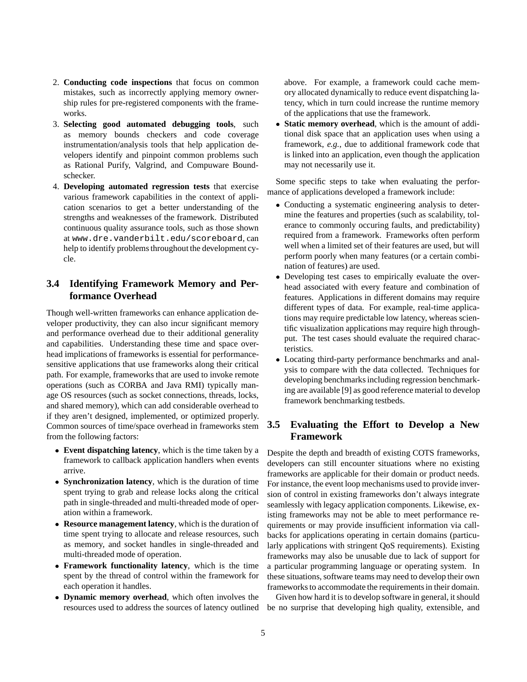- 2. **Conducting code inspections** that focus on common mistakes, such as incorrectly applying memory ownership rules for pre-registered components with the frameworks.
- 3. **Selecting good automated debugging tools**, such as memory bounds checkers and code coverage instrumentation/analysis tools that help application developers identify and pinpoint common problems such as Rational Purify, Valgrind, and Compuware Boundschecker.
- 4. **Developing automated regression tests** that exercise various framework capabilities in the context of application scenarios to get a better understanding of the strengths and weaknesses of the framework. Distributed continuous quality assurance tools, such as those shown at www.dre.vanderbilt.edu/scoreboard, can help to identify problems throughout the development cycle.

### **3.4 Identifying Framework Memory and Performance Overhead**

Though well-written frameworks can enhance application developer productivity, they can also incur significant memory and performance overhead due to their additional generality and capabilities. Understanding these time and space overhead implications of frameworks is essential for performancesensitive applications that use frameworks along their critical path. For example, frameworks that are used to invoke remote operations (such as CORBA and Java RMI) typically manage OS resources (such as socket connections, threads, locks, and shared memory), which can add considerable overhead to if they aren't designed, implemented, or optimized properly. Common sources of time/space overhead in frameworks stem from the following factors:

- **Event dispatching latency**, which is the time taken by a framework to callback application handlers when events arrive.
- **Synchronization latency**, which is the duration of time spent trying to grab and release locks along the critical path in single-threaded and multi-threaded mode of operation within a framework.
- **Resource management latency**, which is the duration of time spent trying to allocate and release resources, such as memory, and socket handles in single-threaded and multi-threaded mode of operation.
- **Framework functionality latency**, which is the time spent by the thread of control within the framework for each operation it handles.
- **Dynamic memory overhead**, which often involves the resources used to address the sources of latency outlined

above. For example, a framework could cache memory allocated dynamically to reduce event dispatching latency, which in turn could increase the runtime memory of the applications that use the framework.

 **Static memory overhead**, which is the amount of additional disk space that an application uses when using a framework, *e.g.*, due to additional framework code that is linked into an application, even though the application may not necessarily use it.

Some specific steps to take when evaluating the performance of applications developed a framework include:

- Conducting a systematic engineering analysis to determine the features and properties (such as scalability, tolerance to commonly occuring faults, and predictability) required from a framework. Frameworks often perform well when a limited set of their features are used, but will perform poorly when many features (or a certain combination of features) are used.
- Developing test cases to empirically evaluate the overhead associated with every feature and combination of features. Applications in different domains may require different types of data. For example, real-time applications may require predictable low latency, whereas scientific visualization applications may require high throughput. The test cases should evaluate the required characteristics.
- Locating third-party performance benchmarks and analysis to compare with the data collected. Techniques for developing benchmarks including regression benchmarking are available [9] as good reference material to develop framework benchmarking testbeds.

#### **3.5 Evaluating the Effort to Develop a New Framework**

Despite the depth and breadth of existing COTS frameworks, developers can still encounter situations where no existing frameworks are applicable for their domain or product needs. For instance, the event loop mechanisms used to provide inversion of control in existing frameworks don't always integrate seamlessly with legacy application components. Likewise, existing frameworks may not be able to meet performance requirements or may provide insufficient information via callbacks for applications operating in certain domains (particularly applications with stringent QoS requirements). Existing frameworks may also be unusable due to lack of support for a particular programming language or operating system. In these situations, software teams may need to develop their own frameworks to accommodate the requirements in their domain.

Given how hard it is to develop software in general, it should be no surprise that developing high quality, extensible, and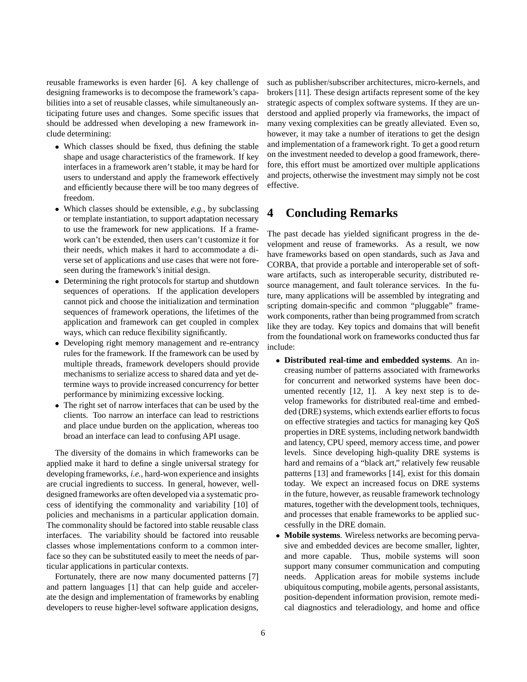reusable frameworks is even harder [6]. A key challenge of designing frameworks is to decompose the framework's capabilities into a set of reusable classes, while simultaneously anticipating future uses and changes. Some specific issues that should be addressed when developing a new framework include determining:

- Which classes should be fixed, thus defining the stable shape and usage characteristics of the framework. If key interfaces in a framework aren't stable, it may be hard for users to understand and apply the framework effectively and efficiently because there will be too many degrees of freedom.
- Which classes should be extensible, *e.g.*, by subclassing or template instantiation, to support adaptation necessary to use the framework for new applications. If a framework can't be extended, then users can't customize it for their needs, which makes it hard to accommodate a diverse set of applications and use cases that were not foreseen during the framework's initial design.
- Determining the right protocols for startup and shutdown sequences of operations. If the application developers cannot pick and choose the initialization and termination sequences of framework operations, the lifetimes of the application and framework can get coupled in complex ways, which can reduce flexibility significantly.
- Developing right memory management and re-entrancy rules for the framework. If the framework can be used by multiple threads, framework developers should provide mechanisms to serialize access to shared data and yet determine ways to provide increased concurrency for better performance by minimizing excessive locking.
- The right set of narrow interfaces that can be used by the clients. Too narrow an interface can lead to restrictions and place undue burden on the application, whereas too broad an interface can lead to confusing API usage.

The diversity of the domains in which frameworks can be applied make it hard to define a single universal strategy for developing frameworks, *i.e.*, hard-won experience and insights are crucial ingredients to success. In general, however, welldesigned frameworks are often developed via a systematic process of identifying the commonality and variability [10] of policies and mechanisms in a particular application domain. The commonality should be factored into stable reusable class interfaces. The variability should be factored into reusable classes whose implementations conform to a common interface so they can be substituted easily to meet the needs of particular applications in particular contexts.

Fortunately, there are now many documented patterns [7] and pattern languages [1] that can help guide and accelerate the design and implementation of frameworks by enabling developers to reuse higher-level software application designs, such as publisher/subscriber architectures, micro-kernels, and brokers [11]. These design artifacts represent some of the key strategic aspects of complex software systems. If they are understood and applied properly via frameworks, the impact of many vexing complexities can be greatly alleviated. Even so, however, it may take a number of iterations to get the design and implementation of a framework right. To get a good return on the investment needed to develop a good framework, therefore, this effort must be amortized over multiple applications and projects, otherwise the investment may simply not be cost effective.

## **4 Concluding Remarks**

The past decade has yielded significant progress in the development and reuse of frameworks. As a result, we now have frameworks based on open standards, such as Java and CORBA, that provide a portable and interoperable set of software artifacts, such as interoperable security, distributed resource management, and fault tolerance services. In the future, many applications will be assembled by integrating and scripting domain-specific and common "pluggable" framework components, rather than being programmed from scratch like they are today. Key topics and domains that will benefit from the foundational work on frameworks conducted thus far include:

- **Distributed real-time and embedded systems**. An increasing number of patterns associated with frameworks for concurrent and networked systems have been documented recently [12, 1]. A key next step is to develop frameworks for distributed real-time and embedded (DRE) systems, which extends earlier efforts to focus on effective strategies and tactics for managing key QoS properties in DRE systems, including network bandwidth and latency, CPU speed, memory access time, and power levels. Since developing high-quality DRE systems is hard and remains of a "black art," relatively few reusable patterns [13] and frameworks [14], exist for this domain today. We expect an increased focus on DRE systems in the future, however, as reusable framework technology matures, together with the development tools, techniques, and processes that enable frameworks to be applied successfully in the DRE domain.
- **Mobile systems**. Wireless networks are becoming pervasive and embedded devices are become smaller, lighter, and more capable. Thus, mobile systems will soon support many consumer communication and computing needs. Application areas for mobile systems include ubiquitous computing, mobile agents, personal assistants, position-dependent information provision, remote medical diagnostics and teleradiology, and home and office